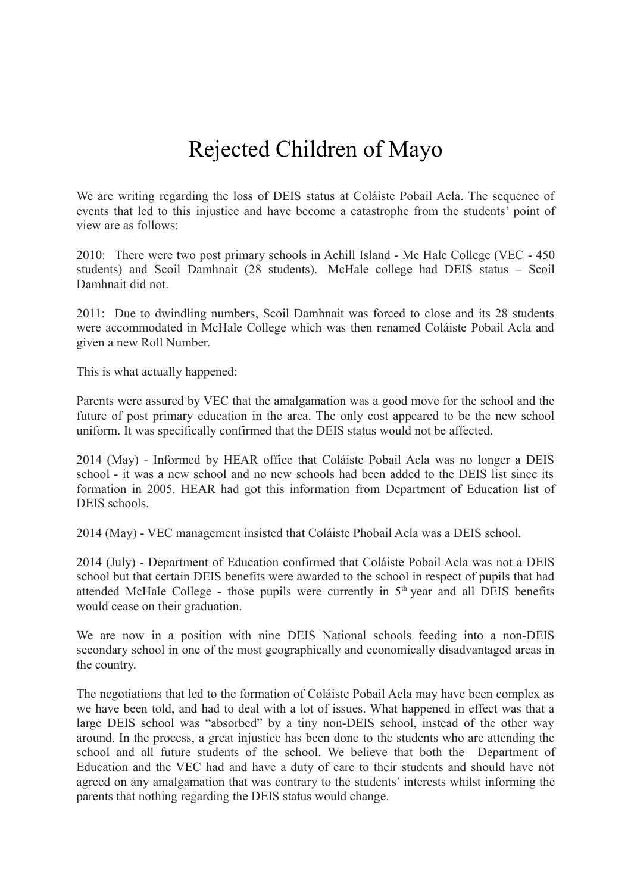## Rejected Children of Mayo

We are writing regarding the loss of DEIS status at Coláiste Pobail Acla. The sequence of events that led to this injustice and have become a catastrophe from the students' point of view are as follows:

2010: There were two post primary schools in Achill Island - Mc Hale College (VEC - 450 students) and Scoil Damhnait (28 students). McHale college had DEIS status – Scoil Damhnait did not.

2011: Due to dwindling numbers, Scoil Damhnait was forced to close and its 28 students were accommodated in McHale College which was then renamed Coláiste Pobail Acla and given a new Roll Number.

This is what actually happened:

Parents were assured by VEC that the amalgamation was a good move for the school and the future of post primary education in the area. The only cost appeared to be the new school uniform. It was specifically confirmed that the DEIS status would not be affected.

2014 (May) - Informed by HEAR office that Coláiste Pobail Acla was no longer a DEIS school - it was a new school and no new schools had been added to the DEIS list since its formation in 2005. HEAR had got this information from Department of Education list of DEIS schools.

2014 (May) - VEC management insisted that Coláiste Phobail Acla was a DEIS school.

2014 (July) - Department of Education confirmed that Coláiste Pobail Acla was not a DEIS school but that certain DEIS benefits were awarded to the school in respect of pupils that had attended McHale College - those pupils were currently in  $5<sup>th</sup>$  year and all DEIS benefits would cease on their graduation.

We are now in a position with nine DEIS National schools feeding into a non-DEIS secondary school in one of the most geographically and economically disadvantaged areas in the country.

The negotiations that led to the formation of Coláiste Pobail Acla may have been complex as we have been told, and had to deal with a lot of issues. What happened in effect was that a large DEIS school was "absorbed" by a tiny non-DEIS school, instead of the other way around. In the process, a great injustice has been done to the students who are attending the school and all future students of the school. We believe that both the Department of Education and the VEC had and have a duty of care to their students and should have not agreed on any amalgamation that was contrary to the students' interests whilst informing the parents that nothing regarding the DEIS status would change.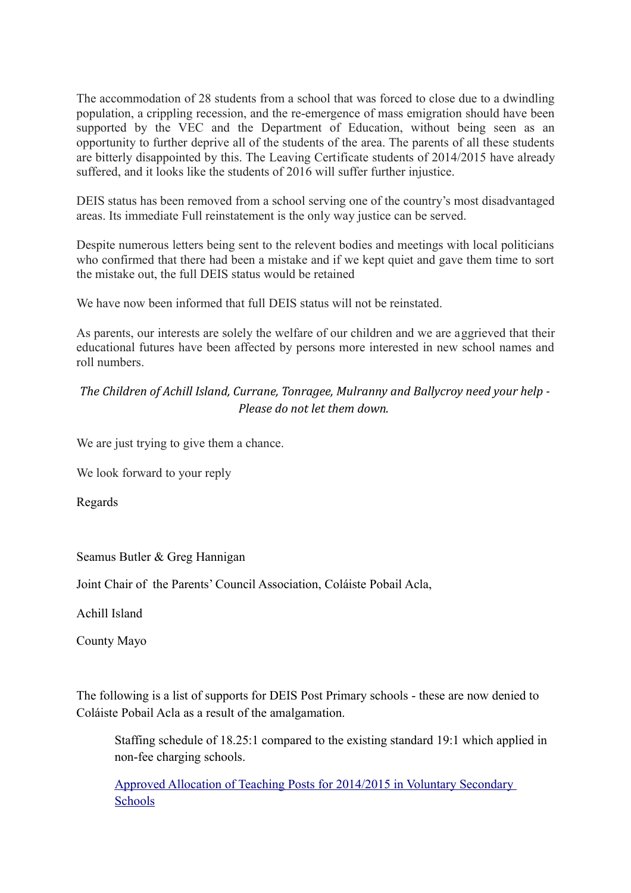The accommodation of 28 students from a school that was forced to close due to a dwindling population, a crippling recession, and the re-emergence of mass emigration should have been supported by the VEC and the Department of Education, without being seen as an opportunity to further deprive all of the students of the area. The parents of all these students are bitterly disappointed by this. The Leaving Certificate students of 2014/2015 have already suffered, and it looks like the students of 2016 will suffer further injustice.

DEIS status has been removed from a school serving one of the country's most disadvantaged areas. Its immediate Full reinstatement is the only way justice can be served.

Despite numerous letters being sent to the relevent bodies and meetings with local politicians who confirmed that there had been a mistake and if we kept quiet and gave them time to sort the mistake out, the full DEIS status would be retained

We have now been informed that full DEIS status will not be reinstated.

As parents, our interests are solely the welfare of our children and we are aggrieved that their educational futures have been affected by persons more interested in new school names and roll numbers.

## *The Children of Achill Island, Currane, Tonragee, Mulranny and Ballycroy need your help - Please do not let them down.*

We are just trying to give them a chance.

We look forward to your reply

Regards

Seamus Butler & Greg Hannigan

Joint Chair of the Parents' Council Association, Coláiste Pobail Acla,

Achill Island

County Mayo

The following is a list of supports for DEIS Post Primary schools - these are now denied to Coláiste Pobail Acla as a result of the amalgamation.

Staffing schedule of 18.25:1 compared to the existing standard 19:1 which applied in non-fee charging schools.

 [Approved Allocation of Teaching Posts for 2014/2015 in Voluntary Secondary](http://www.education.ie/en/Schools-Colleges/Services/Teacher-Allocations-Staffing/Teacher-Allocation/Approved-Allocation-of-Teaching-Posts-for-2014-2015-in-Voluntary-Secondary-Schools.pdf)  [Schools](http://www.education.ie/en/Schools-Colleges/Services/Teacher-Allocations-Staffing/Teacher-Allocation/Approved-Allocation-of-Teaching-Posts-for-2014-2015-in-Voluntary-Secondary-Schools.pdf)